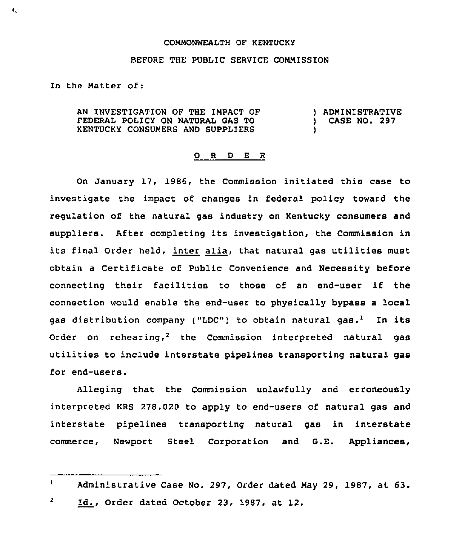## COMMONNEALTH OF KENTUCKY

## BEFORE THE PUBLIC SERVICE COMMISSION

In the Matter of:

 $\mathbf{t}_\infty$ 

AN INVESTIGATION QF THE IMPACT OF FEDERAL POLICY ON NATURAL GAS TO KENTUCKY CONSUMERS AND SUPPLIERS ) ADMINISTRATIVE ) CASE NO. 297 )

## 0 <sup>R</sup> <sup>D</sup> <sup>E</sup> <sup>R</sup>

On January 17, 1986, the Commission initiated this case to investigate the impact of changes in federal policy toward the regulation of the natural gas industry on Kentucky consumers and suppliers. After completing its investigation, the Commission in its final Order held, inter alia, that natural gas utilities must obtain a Certificate of Public Convenience and Necessity before connecting their facilities to those of an end-user if the connection would enable the end-user to physically bypass a local gas distribution company ("LDC") to obtain natural gas.<sup>1</sup> In its Order on rehearing,<sup>2</sup> the Commission interpreted natural gas utilities to include interstate pipelines transporting natural gas for end-users.

Alleging that the Commission unlawfully and erroneously interpreted KRS 278.020 to apply to end-users of natural gas and interstate pipelines transporting natural gas in interstate commerce, Newport Steel Corporation and G.E. Appliances,

 $\mathbf{2}$ Id., Order dated October 23, 1987, at 12.

 $\mathbf{1}$ Administrative Case No. 297, Order dated May 29, 1987, at 63.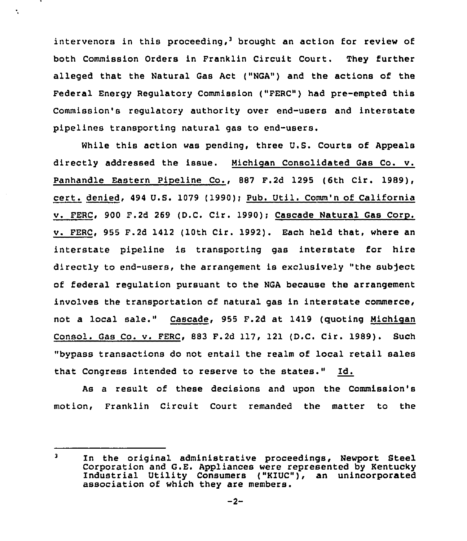intervenors in this proceeding,<sup>3</sup> brought an action for review of both Commission Orders in Franklin Circuit Court. They further alleged that the Natural Gas Act ("NGA") and the actions of the Federal Energy Regulatory Commission ("FERC") had pre-empted this Commission's regulatory authority over end-users and interstate pipelines transporting natural gas to end-users.

Ñ.

While this action was pending, three U.S. Courts of Appeals directly addressed the issue. Nichioan Consolidated Gas Co. v. Panhandle Eastern Pipeline Co., 887 F.2d 1295 (6th Cir. 1989), cert. denied, <sup>494</sup> U.S. 1079 (1990)) Pub. Util. Comm'n of California v. FERC, 900 F.2d 269 (D.C. Cir. 1990); Cascade Natural Gas Corp. v. FERC, 955 F.2d 1412 (10th Cir. 1992), Each held that, where an interstate pipeline is transporting gas interstate for hire directly to end-users, the arrangement is exclusively "the subject of federal regulation pursuant to the NGA because the arrangement involves the transportation of natural gas in interstate commerce, not a local sale." Cascade, 955 F.2d at 1419 (quoting Michigan Consol. Gas Co. v. FERC, 883 F.2d 117, 121 (D.C. Cir. 1989). Such "bypass transactions do not entail the realm of local retail sales that Congress intended to reserve to the states." Id.

As a result of these decisions and upon the Commission's motion, Franklin Circuit Court remanded the matter to the

 $\overline{\mathbf{3}}$ In the original administrative proceedings, Newport Steel Corporation and G.E. Appliances were represented by Kentucky Industrial Utility Consumers ("KIUC"), an unincorporated association of which they are members.